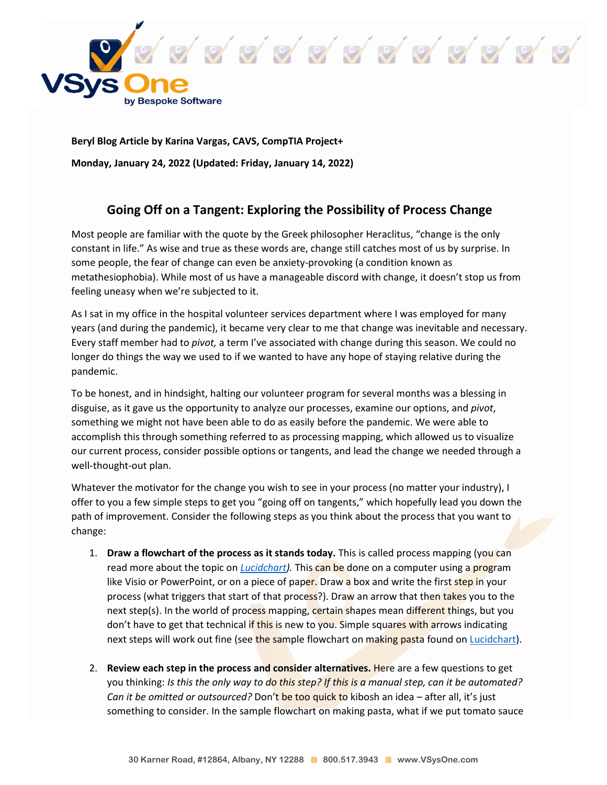

**Beryl Blog Article by Karina Vargas, CAVS, CompTIA Project+ Monday, January 24, 2022 (Updated: Friday, January 14, 2022)**

## **Going Off on a Tangent: Exploring the Possibility of Process Change**

Most people are familiar with the quote by the Greek philosopher Heraclitus, "change is the only constant in life." As wise and true as these words are, change still catches most of us by surprise. In some people, the fear of change can even be anxiety-provoking (a condition known as metathesiophobia). While most of us have a manageable discord with change, it doesn't stop us from feeling uneasy when we're subjected to it.

As I sat in my office in the hospital volunteer services department where I was employed for many years (and during the pandemic), it became very clear to me that change was inevitable and necessary. Every staff member had to *pivot,* a term I've associated with change during this season. We could no longer do things the way we used to if we wanted to have any hope of staying relative during the pandemic.

To be honest, and in hindsight, halting our volunteer program for several months was a blessing in disguise, as it gave us the opportunity to analyze our processes, examine our options, and *pivot*, something we might not have been able to do as easily before the pandemic. We were able to accomplish this through something referred to as processing mapping, which allowed us to visualize our current process, consider possible options or tangents, and lead the change we needed through a well-thought-out plan.

Whatever the motivator for the change you wish to see in your process (no matter your industry), I offer to you a few simple steps to get you "going off on tangents," which hopefully lead you down the path of improvement. Consider the following steps as you think about the process that you want to change:

- 1. **Draw a flowchart of the process as it stands today.** This is called process mapping (you can read more about the topic on *[Lucidchart\)](https://www.lucidchart.com/pages/process-mapping).* This can be done on a computer using a program like Visio or PowerPoint, or on a piece of paper. Draw a box and write the first step in your process (what triggers that start of that process?). Draw an arrow that then takes you to the next step(s). In the world of process mapping, certain shapes mean different things, but you don't have to get that technical if this is new to you. Simple squares with arrows indicating next steps will work out fine (see the sample flowchart on making pasta found on [Lucidchart\)](https://d2slcw3kip6qmk.cloudfront.net/marketing/pages/chart/seo/process-maps/discovery/process-map-pasta-updated.svg).
- 2. **Review each step in the process and consider alternatives.** Here are a few questions to get you thinking: *Is this the only way to do this step? If this is a manual step, can it be automated? Can it be omitted or outsourced?* Don't be too quick to kibosh an idea – after all, it's just something to consider. In the sample flowchart on making pasta, what if we put tomato sauce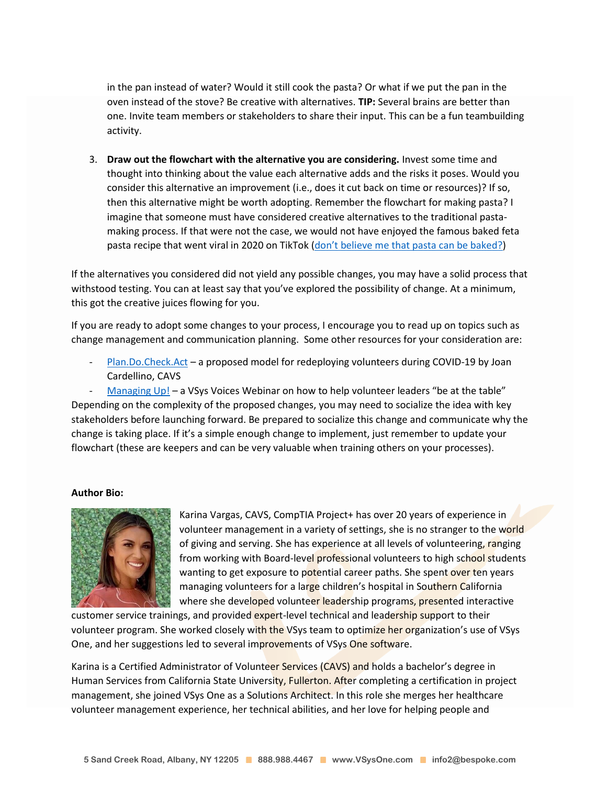in the pan instead of water? Would it still cook the pasta? Or what if we put the pan in the oven instead of the stove? Be creative with alternatives. **TIP:** Several brains are better than one. Invite team members or stakeholders to share their input. This can be a fun teambuilding activity.

3. **Draw out the flowchart with the alternative you are considering.** Invest some time and thought into thinking about the value each alternative adds and the risks it poses. Would you consider this alternative an improvement (i.e., does it cut back on time or resources)? If so, then this alternative might be worth adopting. Remember the flowchart for making pasta? I imagine that someone must have considered creative alternatives to the traditional pastamaking process. If that were not the case, we would not have enjoyed the famous baked feta pasta recipe that went viral in 2020 on TikTok (don't bel[ieve me that pasta can be baked?\)](https://fedandfit.com/feta-pasta/)

If the alternatives you considered did not yield any possible changes, you may have a solid process that withstood testing. You can at least say that you've explored the possibility of change. At a minimum, this got the creative juices flowing for you.

If you are ready to adopt some changes to your process, I encourage you to read up on topics such as change management and communication planning. Some other resources for your consideration are:

[Plan.Do.Check.Act](https://www.vsysone.com/download/PlanDoCheckAct2020-09-02v2.ppsx) – a proposed model for redeploying volunteers during COVID-19 by Joan Cardellino, CAVS

[Managing Up!](https://www.vsysone.com/download/webinars/2020/VSysVoices-Discussion-Managing-Up-2020-10-14.mp4) – a VSys Voices Webinar on how to help volunteer leaders "be at the table" Depending on the complexity of the proposed changes, you may need to socialize the idea with key stakeholders before launching forward. Be prepared to socialize this change and communicate why the change is taking place. If it's a simple enough change to implement, just remember to update your flowchart (these are keepers and can be very valuable when training others on your processes).

## **Author Bio:**



Karina Vargas, CAVS, CompTIA Project+ has over 20 years of experience in volunteer management in a variety of settings, she is no stranger to the world of giving and serving. She has experience at all levels of volunteering, ranging from working with Board-level professional volunteers to high school students wanting to get exposure to potential career paths. She spent over ten years managing volunteers for a large children's hospital in Southern California where she developed volunteer leadership programs, presented interactive

customer service trainings, and provided expert-level technical and leadership support to their volunteer program. She worked closely with the VSys team to optimize her organization's use of VSys One, and her suggestions led to several improvements of VSys One software.

Karina is a Certified Administrator of Volunteer Services (CAVS) and holds a bachelor's degree in Human Services from California State University, Fullerton. After completing a certification in project management, she joined VSys One as a Solutions Architect. In this role she merges her healthcare volunteer management experience, her technical abilities, and her love for helping people and